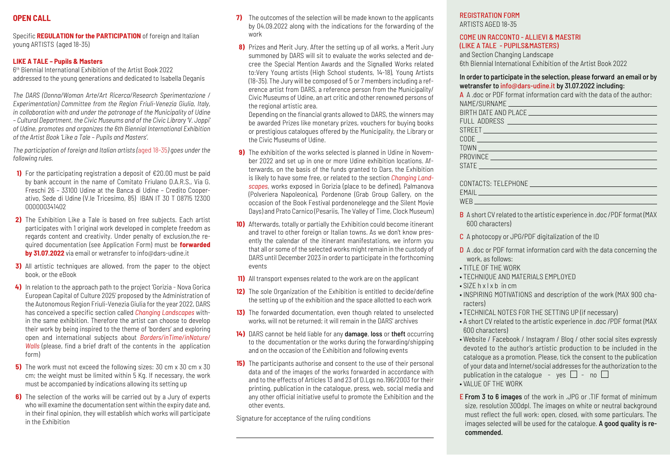# **OPEN CALL**

Specific **REGULATION for the PARTICIPATION** of foreign and Italian young ARTISTS (aged 18-35)

# **LIKE A TALE – Pupils & Masters**

6th Biennial International Exhibition of the Artist Book 2022 addressed to the young generations and dedicated to Isabella Deganis

*The DARS (Donna/Woman Arte/Art Ricerca/Research Sperimentazione / Experimentation) Committee from the Region Friuli-Venezia Giulia, Italy, in collaboration with and under the patronage of the Municipality of Udine – Cultural Department, the Civic Museums and of the Civic Library 'V. Joppi' of Udine, promotes and organizes the 6th Biennial International Exhibition of the Artist Book 'Like a Tale – Pupils and Masters'.*

*The participation of foreign and Italian artists (*aged 18-35*) goes under the following rules.*

- **1)** For the participating registration a deposit of €20.00 must be paid by bank account in the name of Comitato Friulano D.A.R.S., Via G. Freschi 26 – 33100 Udine at the Banca di Udine – Credito Cooperativo, Sede di Udine (V.le Tricesimo, 85) IBAN IT 30 T 08715 12300 000000341402
- **2)** The Exhibition Like a Tale is based on free subjects. Each artist participates with 1 original work developed in complete freedom as regards content and creativity. Under penalty of exclusion,the required documentation (see Application Form) must be **forwarded by 31.07.2022** via email or wetransfer to info@dars-udine.it
- **3)** All artistic techniques are allowed, from the paper to the object book, or the eBook
- **4)** In relation to the approach path to the project 'Gorizia Nova Gorica European Capital of Culture 2025' proposed by the Administration of the Autonomous Region Friuli-Venezia Giulia for the year 2022, DARS has conceived a specific section called *Changing Landscapes* within the same exhibition. Therefore the artist can choose to develop their work by being inspired to the theme of 'borders' and exploring open and international subjects about *Borders/inTime/inNature/ Walls* (please, find a brief draft of the contents in the application form)
- **5)** The work must not exceed the following sizes: 30 cm x 30 cm x 30 cm; the weight must be limited within 5 Kg. If necessary, the work must be accompanied by indications allowing its setting up
- **6)** The selection of the works will be carried out by a Jury of experts who will examine the documentation sent within the expiry date and, in their final opinion, they will establish which works will participate in the Exhibition
- **7)** The outcomes of the selection will be made known to the applicants by 04.09.2022 along with the indications for the forwarding of the work
- **8)** Prizes and Merit Jury. After the setting up of all works, a Merit Jury summoned by DARS will sit to evaluate the works selected and decree the Special Mention Awards and the Signalled Works related to:Very Young artists (High School students, 14-18), Young Artists (18-35). The Jury will be composed of 5 or 7 members including a reference artist from DARS, a reference person from the Municipality/ Civic Museums of Udine, an art critic and other renowned persons of the regional artistic area.

 Depending on the financial grants allowed to DARS, the winners may be awarded Prizes like monetary prizes, vouchers for buying books or prestigious catalogues offered by the Municipality, the Library or the Civic Museums of Udine.

- **9)** The exhibition of the works selected is planned in Udine in November 2022 and set up in one or more Udine exhibition locations. Afterwards, on the basis of the funds granted to Dars, the Exhibition is likely to have some free, or related to the section *Changing Landscapes*, works exposed in Gorizia (place to be defined), Palmanova (Polveriera Napoleonica), Pordenone (Grab Group Gallery, on the occasion of the Book Festival pordenonelegge and the Silent Movie Days) and Prato Carnico (Pesariis, The Valley of Time, Clock Museum)
- **10)** Afterwards, totally or partially the Exhibition could become itinerant and travel to other foreign or Italian towns. As we don't know presently the calendar of the itinerant manifestations, we inform you that all or some of the selected works might remain in the custody of DARS until December 2023 in order to participate in the forthcoming events
- **11)** All transport expenses related to the work are on the applicant
- **12)** The sole Organization of the Exhibition is entitled to decide/define the setting up of the exhibition and the space allotted to each work
- **13)** The forwarded documentation, even though related to unselected works, will not be returned; it will remain in the DARS' archives
- **14)** DARS cannot be held liable for any damage, loss or theft occurring to the documentation or the works during the forwarding/shipping and on the occasion of the Exhibition and following events
- **15)** The participants authorise and consent to the use of their personal data and of the images of the works forwarded in accordance with and to the effects of Articles 13 and 23 of D.Lgs no.196/2003 for their printing, publication in the catalogue, press, web, social media and any other official initiative useful to promote the Exhibition and the other events.

Signature for acceptance of the ruling conditions

#### REGISTRATION FORM ARTISTS AGED 18-35

# COME UN RACCONTO - ALLIEVI & MAESTRI

(LIKE A TALE - PUPILS&MASTERS)

and Section Changing Landscape 6th Biennial International Exhibition of the Artist Book 2022

### In order to participate in the selection, please forward an email or by wetransfer to info@dars-udine.it by 31.07.2022 including:

| A A doc or PDF format information card with the data of the author:<br>NAME/SURNAME                                     |
|-------------------------------------------------------------------------------------------------------------------------|
|                                                                                                                         |
|                                                                                                                         |
| STREET <b>And the company of the company of the company of the company of the company of the company of the company</b> |
|                                                                                                                         |
|                                                                                                                         |
|                                                                                                                         |
| <b>STATE</b>                                                                                                            |

| CONTACTS: TELEPHONE |  |
|---------------------|--|
| EMAIL               |  |
| WEB                 |  |

B A short CV related to the artistic experience in .doc /PDF format (MAX 600 characters)

- C A photocopy or JPG/PDF digitalization of the ID
- D A .doc or PDF format information card with the data concerning the work, as follows:
- TITLE OF THE WORK
- TECHNIQUE AND MATERIALS EMPLOYED
- SIZE h x l x b in cm
- INSPIRING MOTIVATIONS and description of the work (MAX 900 characters)
- TECHNICAL NOTES FOR THE SETTING UP (if necessary)
- A short CV related to the artistic experience in .doc /PDF format (MAX 600 characters)
- Website / Facebook / Instagram / Blog / other social sites expressly devoted to the author's artistic production to be included in the catalogue as a promotion. Please, tick the consent to the publication of your data and Internet/social addresses for the authorization to the publication in the catalogue - yes  $\Box$  - no  $\Box$ • VALUE OF THE WORK
- **E From 3 to 6 images** of the work in .JPG or .TIF format of minimum size, resolution 300dpl. The images on white or neutral background must reflect the full work: open, closed, with some particulars. The images selected will be used for the catalogue. A good quality is recommended.